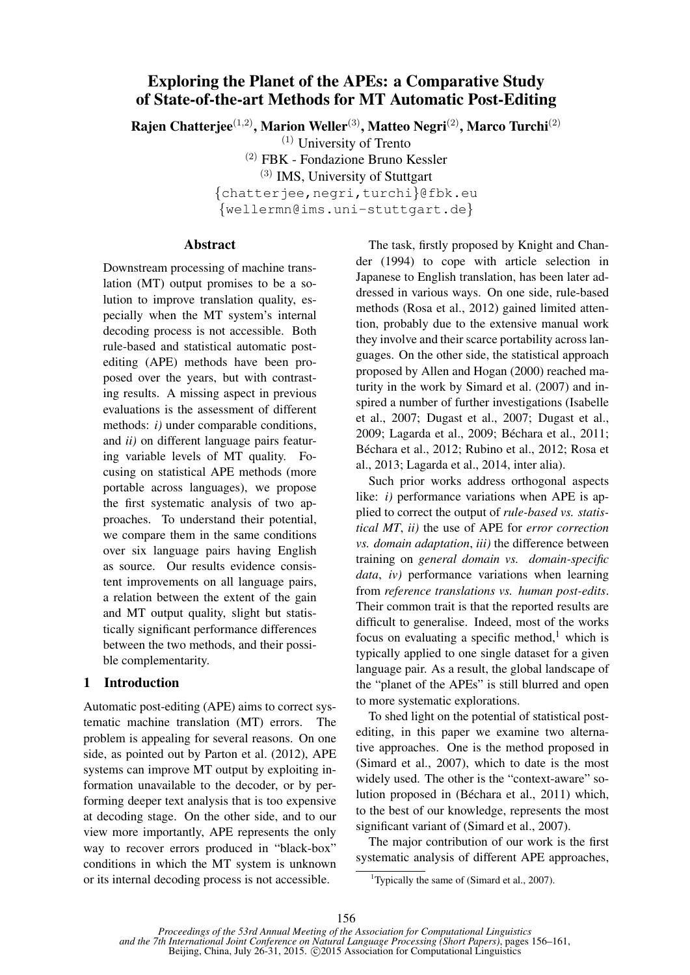# Exploring the Planet of the APEs: a Comparative Study of State-of-the-art Methods for MT Automatic Post-Editing

Rajen Chatterjee<sup>(1,2)</sup>, Marion Weller<sup>(3)</sup>, Matteo Negri<sup>(2)</sup>, Marco Turchi<sup>(2)</sup>

(1) University of Trento

(2) FBK - Fondazione Bruno Kessler

(3) IMS, University of Stuttgart

{chatterjee,negri,turchi}@fbk.eu

{wellermn@ims.uni-stuttgart.de}

#### Abstract

Downstream processing of machine translation (MT) output promises to be a solution to improve translation quality, especially when the MT system's internal decoding process is not accessible. Both rule-based and statistical automatic postediting (APE) methods have been proposed over the years, but with contrasting results. A missing aspect in previous evaluations is the assessment of different methods: *i)* under comparable conditions, and *ii)* on different language pairs featuring variable levels of MT quality. Focusing on statistical APE methods (more portable across languages), we propose the first systematic analysis of two approaches. To understand their potential, we compare them in the same conditions over six language pairs having English as source. Our results evidence consistent improvements on all language pairs, a relation between the extent of the gain and MT output quality, slight but statistically significant performance differences between the two methods, and their possible complementarity.

# 1 Introduction

Automatic post-editing (APE) aims to correct systematic machine translation (MT) errors. The problem is appealing for several reasons. On one side, as pointed out by Parton et al. (2012), APE systems can improve MT output by exploiting information unavailable to the decoder, or by performing deeper text analysis that is too expensive at decoding stage. On the other side, and to our view more importantly, APE represents the only way to recover errors produced in "black-box" conditions in which the MT system is unknown or its internal decoding process is not accessible.

The task, firstly proposed by Knight and Chander (1994) to cope with article selection in Japanese to English translation, has been later addressed in various ways. On one side, rule-based methods (Rosa et al., 2012) gained limited attention, probably due to the extensive manual work they involve and their scarce portability across languages. On the other side, the statistical approach proposed by Allen and Hogan (2000) reached maturity in the work by Simard et al. (2007) and inspired a number of further investigations (Isabelle et al., 2007; Dugast et al., 2007; Dugast et al., 2009; Lagarda et al., 2009; Béchara et al., 2011; Béchara et al., 2012; Rubino et al., 2012; Rosa et al., 2013; Lagarda et al., 2014, inter alia).

Such prior works address orthogonal aspects like: *i*) performance variations when APE is applied to correct the output of *rule-based vs. statistical MT*, *ii)* the use of APE for *error correction vs. domain adaptation*, *iii)* the difference between training on *general domain vs. domain-specific data*, *iv)* performance variations when learning from *reference translations vs. human post-edits*. Their common trait is that the reported results are difficult to generalise. Indeed, most of the works focus on evaluating a specific method,<sup>1</sup> which is typically applied to one single dataset for a given language pair. As a result, the global landscape of the "planet of the APEs" is still blurred and open to more systematic explorations.

To shed light on the potential of statistical postediting, in this paper we examine two alternative approaches. One is the method proposed in (Simard et al., 2007), which to date is the most widely used. The other is the "context-aware" solution proposed in (Béchara et al., 2011) which, to the best of our knowledge, represents the most significant variant of (Simard et al., 2007).

The major contribution of our work is the first systematic analysis of different APE approaches,

<sup>&</sup>lt;sup>1</sup>Typically the same of (Simard et al., 2007).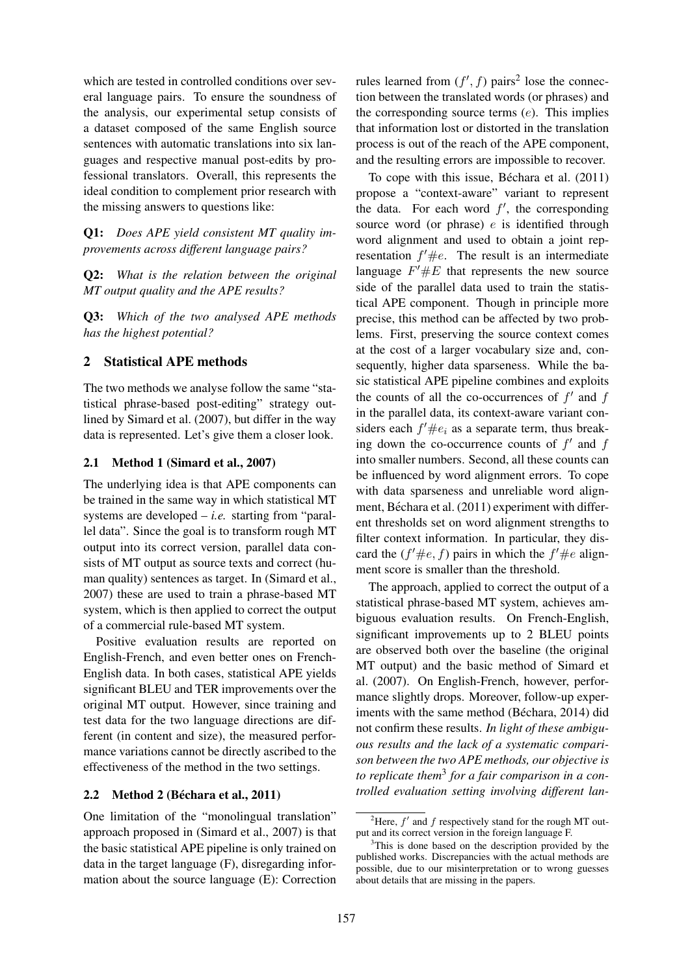which are tested in controlled conditions over several language pairs. To ensure the soundness of the analysis, our experimental setup consists of a dataset composed of the same English source sentences with automatic translations into six languages and respective manual post-edits by professional translators. Overall, this represents the ideal condition to complement prior research with the missing answers to questions like:

Q1: *Does APE yield consistent MT quality improvements across different language pairs?*

Q2: *What is the relation between the original MT output quality and the APE results?*

Q3: *Which of the two analysed APE methods has the highest potential?*

# 2 Statistical APE methods

The two methods we analyse follow the same "statistical phrase-based post-editing" strategy outlined by Simard et al. (2007), but differ in the way data is represented. Let's give them a closer look.

#### 2.1 Method 1 (Simard et al., 2007)

The underlying idea is that APE components can be trained in the same way in which statistical MT systems are developed – *i.e.* starting from "parallel data". Since the goal is to transform rough MT output into its correct version, parallel data consists of MT output as source texts and correct (human quality) sentences as target. In (Simard et al., 2007) these are used to train a phrase-based MT system, which is then applied to correct the output of a commercial rule-based MT system.

Positive evaluation results are reported on English-French, and even better ones on French-English data. In both cases, statistical APE yields significant BLEU and TER improvements over the original MT output. However, since training and test data for the two language directions are different (in content and size), the measured performance variations cannot be directly ascribed to the effectiveness of the method in the two settings.

# 2.2 Method 2 (Béchara et al., 2011)

One limitation of the "monolingual translation" approach proposed in (Simard et al., 2007) is that the basic statistical APE pipeline is only trained on data in the target language (F), disregarding information about the source language (E): Correction

rules learned from  $(f', f)$  pairs<sup>2</sup> lose the connection between the translated words (or phrases) and the corresponding source terms  $(e)$ . This implies that information lost or distorted in the translation process is out of the reach of the APE component, and the resulting errors are impossible to recover.

To cope with this issue, Béchara et al.  $(2011)$ propose a "context-aware" variant to represent the data. For each word  $f'$ , the corresponding source word (or phrase)  $e$  is identified through word alignment and used to obtain a joint representation  $f' \#e$ . The result is an intermediate language  $F' \# E$  that represents the new source side of the parallel data used to train the statistical APE component. Though in principle more precise, this method can be affected by two problems. First, preserving the source context comes at the cost of a larger vocabulary size and, consequently, higher data sparseness. While the basic statistical APE pipeline combines and exploits the counts of all the co-occurrences of  $f'$  and  $f$ in the parallel data, its context-aware variant considers each  $f' \#e_i$  as a separate term, thus breaking down the co-occurrence counts of  $f'$  and  $f$ into smaller numbers. Second, all these counts can be influenced by word alignment errors. To cope with data sparseness and unreliable word alignment, Béchara et al. (2011) experiment with different thresholds set on word alignment strengths to filter context information. In particular, they discard the  $(f' \# e, f)$  pairs in which the  $f' \# e$  alignment score is smaller than the threshold.

The approach, applied to correct the output of a statistical phrase-based MT system, achieves ambiguous evaluation results. On French-English, significant improvements up to 2 BLEU points are observed both over the baseline (the original MT output) and the basic method of Simard et al. (2007). On English-French, however, performance slightly drops. Moreover, follow-up experiments with the same method (Béchara, 2014) did not confirm these results. *In light of these ambiguous results and the lack of a systematic comparison between the two APE methods, our objective is to replicate them*<sup>3</sup> *for a fair comparison in a controlled evaluation setting involving different lan-*

<sup>&</sup>lt;sup>2</sup>Here,  $f'$  and  $f$  respectively stand for the rough MT output and its correct version in the foreign language F.

<sup>&</sup>lt;sup>3</sup>This is done based on the description provided by the published works. Discrepancies with the actual methods are possible, due to our misinterpretation or to wrong guesses about details that are missing in the papers.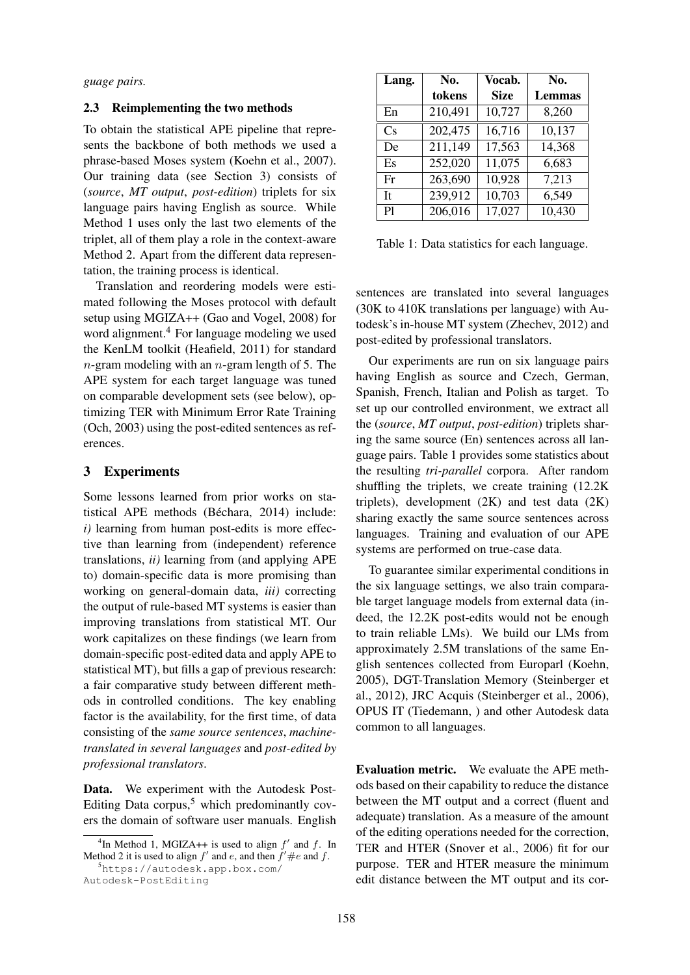*guage pairs.*

#### 2.3 Reimplementing the two methods

To obtain the statistical APE pipeline that represents the backbone of both methods we used a phrase-based Moses system (Koehn et al., 2007). Our training data (see Section 3) consists of (*source*, *MT output*, *post-edition*) triplets for six language pairs having English as source. While Method 1 uses only the last two elements of the triplet, all of them play a role in the context-aware Method 2. Apart from the different data representation, the training process is identical.

Translation and reordering models were estimated following the Moses protocol with default setup using MGIZA++ (Gao and Vogel, 2008) for word alignment.<sup>4</sup> For language modeling we used the KenLM toolkit (Heafield, 2011) for standard  $n$ -gram modeling with an  $n$ -gram length of 5. The APE system for each target language was tuned on comparable development sets (see below), optimizing TER with Minimum Error Rate Training (Och, 2003) using the post-edited sentences as references.

#### 3 Experiments

Some lessons learned from prior works on statistical APE methods (Béchara, 2014) include: *i)* learning from human post-edits is more effective than learning from (independent) reference translations, *ii)* learning from (and applying APE to) domain-specific data is more promising than working on general-domain data, *iii)* correcting the output of rule-based MT systems is easier than improving translations from statistical MT. Our work capitalizes on these findings (we learn from domain-specific post-edited data and apply APE to statistical MT), but fills a gap of previous research: a fair comparative study between different methods in controlled conditions. The key enabling factor is the availability, for the first time, of data consisting of the *same source sentences*, *machinetranslated in several languages* and *post-edited by professional translators*.

Data. We experiment with the Autodesk Post-Editing Data corpus,<sup>5</sup> which predominantly covers the domain of software user manuals. English

Autodesk-PostEditing

| Lang. | No.     | Vocab.      | No.    |  |
|-------|---------|-------------|--------|--|
|       | tokens  | <b>Size</b> | Lemmas |  |
| En    | 210,491 | 10,727      | 8,260  |  |
| Cs    | 202,475 | 16,716      | 10,137 |  |
| De    | 211,149 | 17,563      | 14,368 |  |
| Es    | 252,020 | 11,075      | 6,683  |  |
| Fr    | 263,690 | 10,928      | 7,213  |  |
| It    | 239,912 | 10,703      | 6,549  |  |
| Pl    | 206,016 | 17,027      | 10,430 |  |

Table 1: Data statistics for each language.

sentences are translated into several languages (30K to 410K translations per language) with Autodesk's in-house MT system (Zhechev, 2012) and post-edited by professional translators.

Our experiments are run on six language pairs having English as source and Czech, German, Spanish, French, Italian and Polish as target. To set up our controlled environment, we extract all the (*source*, *MT output*, *post-edition*) triplets sharing the same source (En) sentences across all language pairs. Table 1 provides some statistics about the resulting *tri-parallel* corpora. After random shuffling the triplets, we create training (12.2K triplets), development  $(2K)$  and test data  $(2K)$ sharing exactly the same source sentences across languages. Training and evaluation of our APE systems are performed on true-case data.

To guarantee similar experimental conditions in the six language settings, we also train comparable target language models from external data (indeed, the 12.2K post-edits would not be enough to train reliable LMs). We build our LMs from approximately 2.5M translations of the same English sentences collected from Europarl (Koehn, 2005), DGT-Translation Memory (Steinberger et al., 2012), JRC Acquis (Steinberger et al., 2006), OPUS IT (Tiedemann, ) and other Autodesk data common to all languages.

Evaluation metric. We evaluate the APE methods based on their capability to reduce the distance between the MT output and a correct (fluent and adequate) translation. As a measure of the amount of the editing operations needed for the correction, TER and HTER (Snover et al., 2006) fit for our purpose. TER and HTER measure the minimum edit distance between the MT output and its cor-

<sup>&</sup>lt;sup>4</sup>In Method 1, MGIZA++ is used to align  $f'$  and  $f$ . In Method 2 it is used to align  $f'$  and e, and then  $f' \#e$  and f. <sup>5</sup>https://autodesk.app.box.com/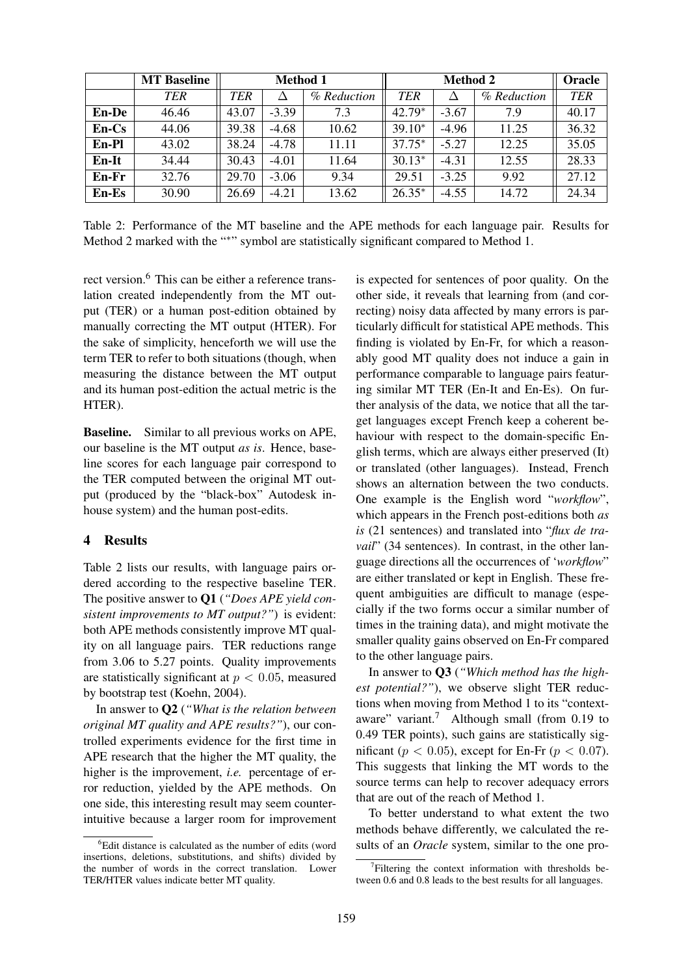|              | <b>MT</b> Baseline | <b>Method 1</b> |         |             | <b>Method 2</b> |         |             | Oracle     |
|--------------|--------------------|-----------------|---------|-------------|-----------------|---------|-------------|------------|
|              | TER                | TER             |         | % Reduction | TER             |         | % Reduction | <b>TER</b> |
| <b>En-De</b> | 46.46              | 43.07           | $-3.39$ | 7.3         | $42.79*$        | $-3.67$ | 7.9         | 40.17      |
| $En-Cs$      | 44.06              | 39.38           | $-4.68$ | 10.62       | $39.10*$        | $-4.96$ | 11.25       | 36.32      |
| En-Pl        | 43.02              | 38.24           | $-4.78$ | 11.11       | $37.75*$        | $-5.27$ | 12.25       | 35.05      |
| En-It        | 34.44              | 30.43           | $-4.01$ | 11.64       | $30.13*$        | $-4.31$ | 12.55       | 28.33      |
| $En-Fr$      | 32.76              | 29.70           | $-3.06$ | 9.34        | 29.51           | $-3.25$ | 9.92        | 27.12      |
| $En-Es$      | 30.90              | 26.69           | $-4.21$ | 13.62       | $26.35*$        | $-4.55$ | 14.72       | 24.34      |

Table 2: Performance of the MT baseline and the APE methods for each language pair. Results for Method 2 marked with the "\*" symbol are statistically significant compared to Method 1.

rect version.<sup>6</sup> This can be either a reference translation created independently from the MT output (TER) or a human post-edition obtained by manually correcting the MT output (HTER). For the sake of simplicity, henceforth we will use the term TER to refer to both situations (though, when measuring the distance between the MT output and its human post-edition the actual metric is the HTER).

Baseline. Similar to all previous works on APE, our baseline is the MT output *as is*. Hence, baseline scores for each language pair correspond to the TER computed between the original MT output (produced by the "black-box" Autodesk inhouse system) and the human post-edits.

### 4 Results

Table 2 lists our results, with language pairs ordered according to the respective baseline TER. The positive answer to Q1 (*"Does APE yield consistent improvements to MT output?"*) is evident: both APE methods consistently improve MT quality on all language pairs. TER reductions range from 3.06 to 5.27 points. Quality improvements are statistically significant at  $p < 0.05$ , measured by bootstrap test (Koehn, 2004).

In answer to Q2 (*"What is the relation between original MT quality and APE results?"*), our controlled experiments evidence for the first time in APE research that the higher the MT quality, the higher is the improvement, *i.e.* percentage of error reduction, yielded by the APE methods. On one side, this interesting result may seem counterintuitive because a larger room for improvement

is expected for sentences of poor quality. On the other side, it reveals that learning from (and correcting) noisy data affected by many errors is particularly difficult for statistical APE methods. This finding is violated by En-Fr, for which a reasonably good MT quality does not induce a gain in performance comparable to language pairs featuring similar MT TER (En-It and En-Es). On further analysis of the data, we notice that all the target languages except French keep a coherent behaviour with respect to the domain-specific English terms, which are always either preserved (It) or translated (other languages). Instead, French shows an alternation between the two conducts. One example is the English word "*workflow*", which appears in the French post-editions both *as is* (21 sentences) and translated into "*flux de travail*" (34 sentences). In contrast, in the other language directions all the occurrences of '*workflow*" are either translated or kept in English. These frequent ambiguities are difficult to manage (especially if the two forms occur a similar number of times in the training data), and might motivate the smaller quality gains observed on En-Fr compared to the other language pairs.

In answer to Q3 (*"Which method has the highest potential?"*), we observe slight TER reductions when moving from Method 1 to its "contextaware" variant.<sup>7</sup> Although small (from 0.19 to 0.49 TER points), such gains are statistically significant ( $p < 0.05$ ), except for En-Fr ( $p < 0.07$ ). This suggests that linking the MT words to the source terms can help to recover adequacy errors that are out of the reach of Method 1.

To better understand to what extent the two methods behave differently, we calculated the results of an *Oracle* system, similar to the one pro-

 ${}^{6}$ Edit distance is calculated as the number of edits (word insertions, deletions, substitutions, and shifts) divided by the number of words in the correct translation. Lower TER/HTER values indicate better MT quality.

<sup>&</sup>lt;sup>7</sup>Filtering the context information with thresholds between 0.6 and 0.8 leads to the best results for all languages.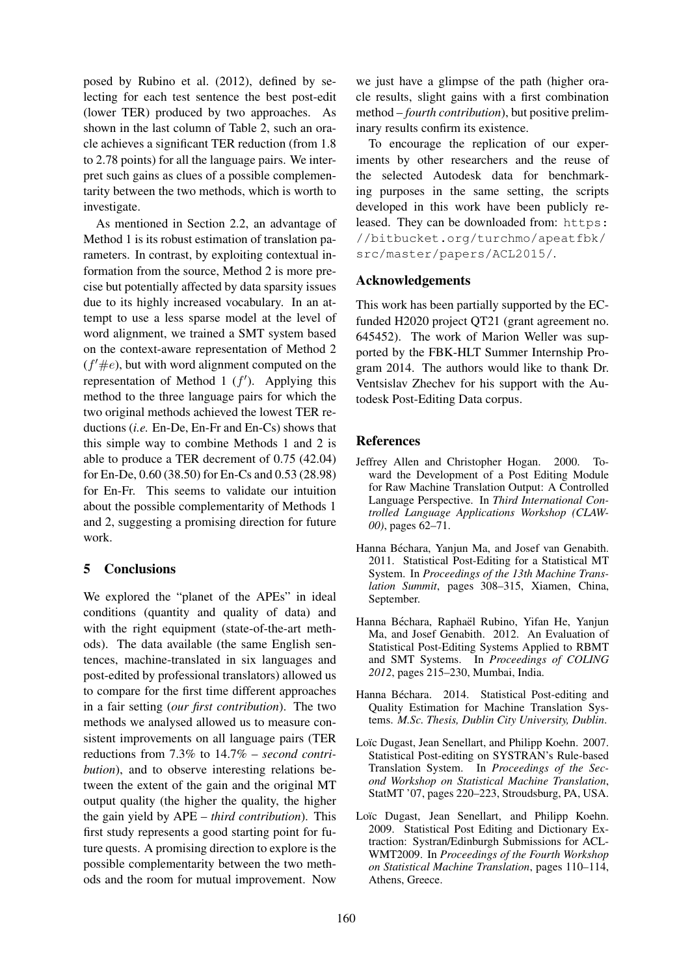posed by Rubino et al. (2012), defined by selecting for each test sentence the best post-edit (lower TER) produced by two approaches. As shown in the last column of Table 2, such an oracle achieves a significant TER reduction (from 1.8 to 2.78 points) for all the language pairs. We interpret such gains as clues of a possible complementarity between the two methods, which is worth to investigate.

As mentioned in Section 2.2, an advantage of Method 1 is its robust estimation of translation parameters. In contrast, by exploiting contextual information from the source, Method 2 is more precise but potentially affected by data sparsity issues due to its highly increased vocabulary. In an attempt to use a less sparse model at the level of word alignment, we trained a SMT system based on the context-aware representation of Method 2  $(f' \# e)$ , but with word alignment computed on the representation of Method 1  $(f')$ . Applying this method to the three language pairs for which the two original methods achieved the lowest TER reductions (*i.e.* En-De, En-Fr and En-Cs) shows that this simple way to combine Methods 1 and 2 is able to produce a TER decrement of 0.75 (42.04) for En-De, 0.60 (38.50) for En-Cs and 0.53 (28.98) for En-Fr. This seems to validate our intuition about the possible complementarity of Methods 1 and 2, suggesting a promising direction for future work.

# 5 Conclusions

We explored the "planet of the APEs" in ideal conditions (quantity and quality of data) and with the right equipment (state-of-the-art methods). The data available (the same English sentences, machine-translated in six languages and post-edited by professional translators) allowed us to compare for the first time different approaches in a fair setting (*our first contribution*). The two methods we analysed allowed us to measure consistent improvements on all language pairs (TER reductions from 7.3% to 14.7% – *second contribution*), and to observe interesting relations between the extent of the gain and the original MT output quality (the higher the quality, the higher the gain yield by APE – *third contribution*). This first study represents a good starting point for future quests. A promising direction to explore is the possible complementarity between the two methods and the room for mutual improvement. Now we just have a glimpse of the path (higher oracle results, slight gains with a first combination method – *fourth contribution*), but positive preliminary results confirm its existence.

To encourage the replication of our experiments by other researchers and the reuse of the selected Autodesk data for benchmarking purposes in the same setting, the scripts developed in this work have been publicly released. They can be downloaded from: https: //bitbucket.org/turchmo/apeatfbk/ src/master/papers/ACL2015/.

#### Acknowledgements

This work has been partially supported by the ECfunded H2020 project QT21 (grant agreement no. 645452). The work of Marion Weller was supported by the FBK-HLT Summer Internship Program 2014. The authors would like to thank Dr. Ventsislav Zhechev for his support with the Autodesk Post-Editing Data corpus.

#### References

- Jeffrey Allen and Christopher Hogan. 2000. Toward the Development of a Post Editing Module for Raw Machine Translation Output: A Controlled Language Perspective. In *Third International Controlled Language Applications Workshop (CLAW-00)*, pages 62–71.
- Hanna Béchara, Yanjun Ma, and Josef van Genabith. 2011. Statistical Post-Editing for a Statistical MT System. In *Proceedings of the 13th Machine Translation Summit*, pages 308–315, Xiamen, China, September.
- Hanna Béchara, Raphaël Rubino, Yifan He, Yanjun Ma, and Josef Genabith. 2012. An Evaluation of Statistical Post-Editing Systems Applied to RBMT and SMT Systems. In *Proceedings of COLING 2012*, pages 215–230, Mumbai, India.
- Hanna Béchara. 2014. Statistical Post-editing and Quality Estimation for Machine Translation Systems. *M.Sc. Thesis, Dublin City University, Dublin*.
- Loïc Dugast, Jean Senellart, and Philipp Koehn. 2007. Statistical Post-editing on SYSTRAN's Rule-based Translation System. In *Proceedings of the Second Workshop on Statistical Machine Translation*, StatMT '07, pages 220–223, Stroudsburg, PA, USA.
- Loïc Dugast, Jean Senellart, and Philipp Koehn. 2009. Statistical Post Editing and Dictionary Extraction: Systran/Edinburgh Submissions for ACL-WMT2009. In *Proceedings of the Fourth Workshop on Statistical Machine Translation*, pages 110–114, Athens, Greece.